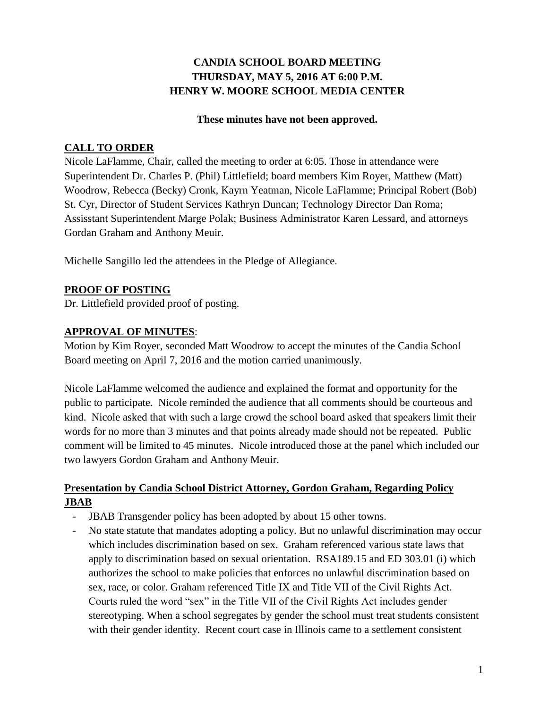# **CANDIA SCHOOL BOARD MEETING THURSDAY, MAY 5, 2016 AT 6:00 P.M. HENRY W. MOORE SCHOOL MEDIA CENTER**

#### **These minutes have not been approved.**

## **CALL TO ORDER**

Nicole LaFlamme, Chair, called the meeting to order at 6:05. Those in attendance were Superintendent Dr. Charles P. (Phil) Littlefield; board members Kim Royer, Matthew (Matt) Woodrow, Rebecca (Becky) Cronk, Kayrn Yeatman, Nicole LaFlamme; Principal Robert (Bob) St. Cyr, Director of Student Services Kathryn Duncan; Technology Director Dan Roma; Assisstant Superintendent Marge Polak; Business Administrator Karen Lessard, and attorneys Gordan Graham and Anthony Meuir.

Michelle Sangillo led the attendees in the Pledge of Allegiance.

## **PROOF OF POSTING**

Dr. Littlefield provided proof of posting.

## **APPROVAL OF MINUTES**:

Motion by Kim Royer, seconded Matt Woodrow to accept the minutes of the Candia School Board meeting on April 7, 2016 and the motion carried unanimously.

Nicole LaFlamme welcomed the audience and explained the format and opportunity for the public to participate. Nicole reminded the audience that all comments should be courteous and kind. Nicole asked that with such a large crowd the school board asked that speakers limit their words for no more than 3 minutes and that points already made should not be repeated. Public comment will be limited to 45 minutes. Nicole introduced those at the panel which included our two lawyers Gordon Graham and Anthony Meuir.

## **Presentation by Candia School District Attorney, Gordon Graham, Regarding Policy JBAB**

- JBAB Transgender policy has been adopted by about 15 other towns.
- No state statute that mandates adopting a policy. But no unlawful discrimination may occur which includes discrimination based on sex. Graham referenced various state laws that apply to discrimination based on sexual orientation. RSA189.15 and ED 303.01 (i) which authorizes the school to make policies that enforces no unlawful discrimination based on sex, race, or color. Graham referenced Title IX and Title VII of the Civil Rights Act. Courts ruled the word "sex" in the Title VII of the Civil Rights Act includes gender stereotyping. When a school segregates by gender the school must treat students consistent with their gender identity. Recent court case in Illinois came to a settlement consistent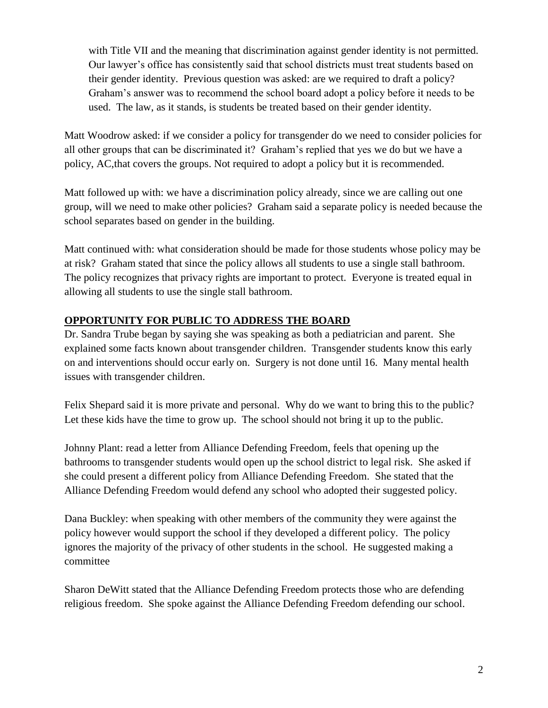with Title VII and the meaning that discrimination against gender identity is not permitted. Our lawyer's office has consistently said that school districts must treat students based on their gender identity. Previous question was asked: are we required to draft a policy? Graham's answer was to recommend the school board adopt a policy before it needs to be used. The law, as it stands, is students be treated based on their gender identity.

Matt Woodrow asked: if we consider a policy for transgender do we need to consider policies for all other groups that can be discriminated it? Graham's replied that yes we do but we have a policy, AC,that covers the groups. Not required to adopt a policy but it is recommended.

Matt followed up with: we have a discrimination policy already, since we are calling out one group, will we need to make other policies? Graham said a separate policy is needed because the school separates based on gender in the building.

Matt continued with: what consideration should be made for those students whose policy may be at risk? Graham stated that since the policy allows all students to use a single stall bathroom. The policy recognizes that privacy rights are important to protect. Everyone is treated equal in allowing all students to use the single stall bathroom.

## **OPPORTUNITY FOR PUBLIC TO ADDRESS THE BOARD**

Dr. Sandra Trube began by saying she was speaking as both a pediatrician and parent. She explained some facts known about transgender children. Transgender students know this early on and interventions should occur early on. Surgery is not done until 16. Many mental health issues with transgender children.

Felix Shepard said it is more private and personal. Why do we want to bring this to the public? Let these kids have the time to grow up. The school should not bring it up to the public.

Johnny Plant: read a letter from Alliance Defending Freedom, feels that opening up the bathrooms to transgender students would open up the school district to legal risk. She asked if she could present a different policy from Alliance Defending Freedom. She stated that the Alliance Defending Freedom would defend any school who adopted their suggested policy.

Dana Buckley: when speaking with other members of the community they were against the policy however would support the school if they developed a different policy. The policy ignores the majority of the privacy of other students in the school. He suggested making a committee

Sharon DeWitt stated that the Alliance Defending Freedom protects those who are defending religious freedom. She spoke against the Alliance Defending Freedom defending our school.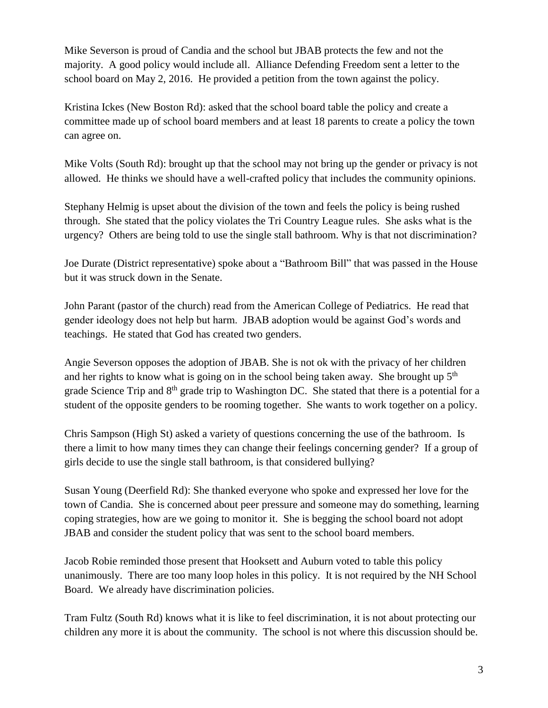Mike Severson is proud of Candia and the school but JBAB protects the few and not the majority. A good policy would include all. Alliance Defending Freedom sent a letter to the school board on May 2, 2016. He provided a petition from the town against the policy.

Kristina Ickes (New Boston Rd): asked that the school board table the policy and create a committee made up of school board members and at least 18 parents to create a policy the town can agree on.

Mike Volts (South Rd): brought up that the school may not bring up the gender or privacy is not allowed. He thinks we should have a well-crafted policy that includes the community opinions.

Stephany Helmig is upset about the division of the town and feels the policy is being rushed through. She stated that the policy violates the Tri Country League rules. She asks what is the urgency? Others are being told to use the single stall bathroom. Why is that not discrimination?

Joe Durate (District representative) spoke about a "Bathroom Bill" that was passed in the House but it was struck down in the Senate.

John Parant (pastor of the church) read from the American College of Pediatrics. He read that gender ideology does not help but harm. JBAB adoption would be against God's words and teachings. He stated that God has created two genders.

Angie Severson opposes the adoption of JBAB. She is not ok with the privacy of her children and her rights to know what is going on in the school being taken away. She brought up  $5<sup>th</sup>$ grade Science Trip and 8<sup>th</sup> grade trip to Washington DC. She stated that there is a potential for a student of the opposite genders to be rooming together. She wants to work together on a policy.

Chris Sampson (High St) asked a variety of questions concerning the use of the bathroom. Is there a limit to how many times they can change their feelings concerning gender? If a group of girls decide to use the single stall bathroom, is that considered bullying?

Susan Young (Deerfield Rd): She thanked everyone who spoke and expressed her love for the town of Candia. She is concerned about peer pressure and someone may do something, learning coping strategies, how are we going to monitor it. She is begging the school board not adopt JBAB and consider the student policy that was sent to the school board members.

Jacob Robie reminded those present that Hooksett and Auburn voted to table this policy unanimously. There are too many loop holes in this policy. It is not required by the NH School Board. We already have discrimination policies.

Tram Fultz (South Rd) knows what it is like to feel discrimination, it is not about protecting our children any more it is about the community. The school is not where this discussion should be.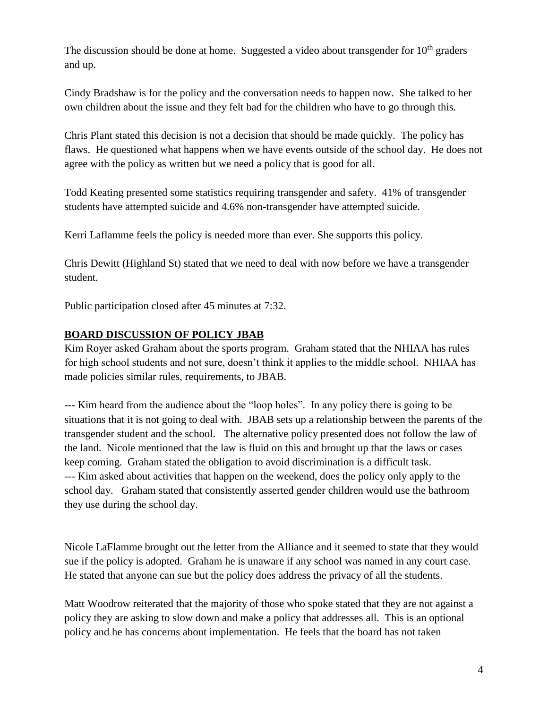The discussion should be done at home. Suggested a video about transgender for  $10<sup>th</sup>$  graders and up.

Cindy Bradshaw is for the policy and the conversation needs to happen now. She talked to her own children about the issue and they felt bad for the children who have to go through this.

Chris Plant stated this decision is not a decision that should be made quickly. The policy has flaws. He questioned what happens when we have events outside of the school day. He does not agree with the policy as written but we need a policy that is good for all.

Todd Keating presented some statistics requiring transgender and safety. 41% of transgender students have attempted suicide and 4.6% non-transgender have attempted suicide.

Kerri Laflamme feels the policy is needed more than ever. She supports this policy.

Chris Dewitt (Highland St) stated that we need to deal with now before we have a transgender student.

Public participation closed after 45 minutes at 7:32.

## **BOARD DISCUSSION OF POLICY JBAB**

Kim Royer asked Graham about the sports program. Graham stated that the NHIAA has rules for high school students and not sure, doesn't think it applies to the middle school. NHIAA has made policies similar rules, requirements, to JBAB.

--- Kim heard from the audience about the "loop holes". In any policy there is going to be situations that it is not going to deal with. JBAB sets up a relationship between the parents of the transgender student and the school. The alternative policy presented does not follow the law of the land. Nicole mentioned that the law is fluid on this and brought up that the laws or cases keep coming. Graham stated the obligation to avoid discrimination is a difficult task. --- Kim asked about activities that happen on the weekend, does the policy only apply to the school day. Graham stated that consistently asserted gender children would use the bathroom they use during the school day.

Nicole LaFlamme brought out the letter from the Alliance and it seemed to state that they would sue if the policy is adopted. Graham he is unaware if any school was named in any court case. He stated that anyone can sue but the policy does address the privacy of all the students.

Matt Woodrow reiterated that the majority of those who spoke stated that they are not against a policy they are asking to slow down and make a policy that addresses all. This is an optional policy and he has concerns about implementation. He feels that the board has not taken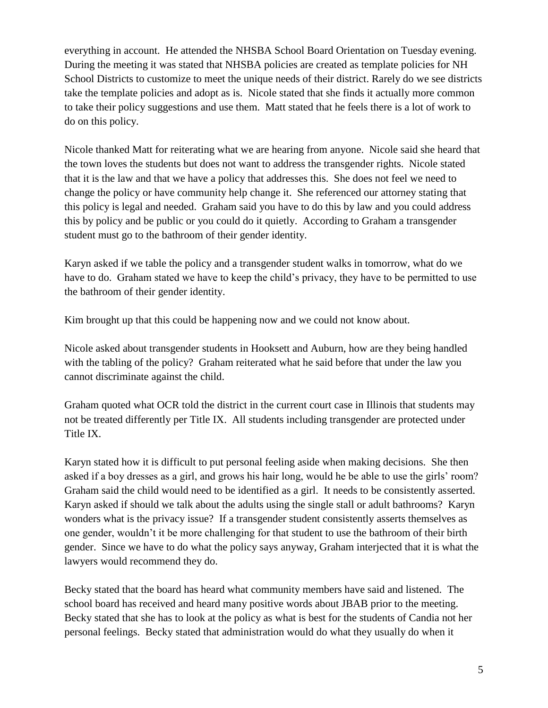everything in account. He attended the NHSBA School Board Orientation on Tuesday evening. During the meeting it was stated that NHSBA policies are created as template policies for NH School Districts to customize to meet the unique needs of their district. Rarely do we see districts take the template policies and adopt as is. Nicole stated that she finds it actually more common to take their policy suggestions and use them. Matt stated that he feels there is a lot of work to do on this policy.

Nicole thanked Matt for reiterating what we are hearing from anyone. Nicole said she heard that the town loves the students but does not want to address the transgender rights. Nicole stated that it is the law and that we have a policy that addresses this. She does not feel we need to change the policy or have community help change it. She referenced our attorney stating that this policy is legal and needed. Graham said you have to do this by law and you could address this by policy and be public or you could do it quietly. According to Graham a transgender student must go to the bathroom of their gender identity.

Karyn asked if we table the policy and a transgender student walks in tomorrow, what do we have to do. Graham stated we have to keep the child's privacy, they have to be permitted to use the bathroom of their gender identity.

Kim brought up that this could be happening now and we could not know about.

Nicole asked about transgender students in Hooksett and Auburn, how are they being handled with the tabling of the policy? Graham reiterated what he said before that under the law you cannot discriminate against the child.

Graham quoted what OCR told the district in the current court case in Illinois that students may not be treated differently per Title IX. All students including transgender are protected under Title IX.

Karyn stated how it is difficult to put personal feeling aside when making decisions. She then asked if a boy dresses as a girl, and grows his hair long, would he be able to use the girls' room? Graham said the child would need to be identified as a girl. It needs to be consistently asserted. Karyn asked if should we talk about the adults using the single stall or adult bathrooms? Karyn wonders what is the privacy issue? If a transgender student consistently asserts themselves as one gender, wouldn't it be more challenging for that student to use the bathroom of their birth gender. Since we have to do what the policy says anyway, Graham interjected that it is what the lawyers would recommend they do.

Becky stated that the board has heard what community members have said and listened. The school board has received and heard many positive words about JBAB prior to the meeting. Becky stated that she has to look at the policy as what is best for the students of Candia not her personal feelings. Becky stated that administration would do what they usually do when it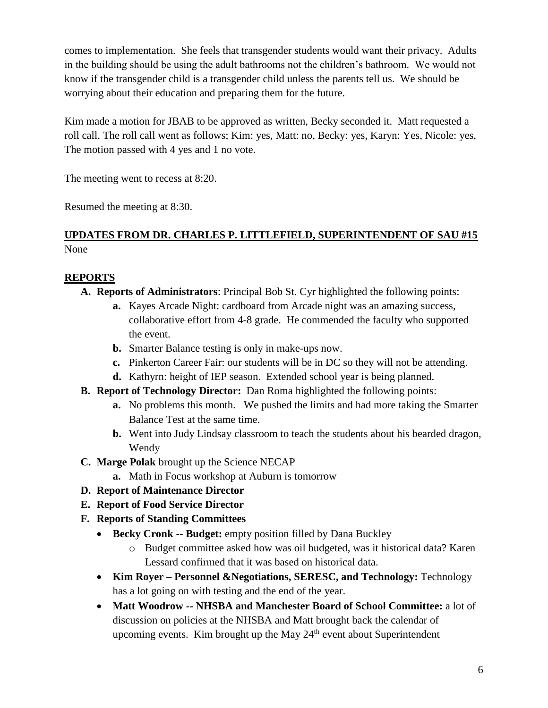comes to implementation. She feels that transgender students would want their privacy. Adults in the building should be using the adult bathrooms not the children's bathroom. We would not know if the transgender child is a transgender child unless the parents tell us. We should be worrying about their education and preparing them for the future.

Kim made a motion for JBAB to be approved as written, Becky seconded it. Matt requested a roll call. The roll call went as follows; Kim: yes, Matt: no, Becky: yes, Karyn: Yes, Nicole: yes, The motion passed with 4 yes and 1 no vote.

The meeting went to recess at 8:20.

Resumed the meeting at 8:30.

# **UPDATES FROM DR. CHARLES P. LITTLEFIELD, SUPERINTENDENT OF SAU #15** None

# **REPORTS**

- **A. Reports of Administrators**: Principal Bob St. Cyr highlighted the following points:
	- **a.** Kayes Arcade Night: cardboard from Arcade night was an amazing success, collaborative effort from 4-8 grade. He commended the faculty who supported the event.
	- **b.** Smarter Balance testing is only in make-ups now.
	- **c.** Pinkerton Career Fair: our students will be in DC so they will not be attending.
	- **d.** Kathyrn: height of IEP season. Extended school year is being planned.
- **B. Report of Technology Director:** Dan Roma highlighted the following points:
	- **a.** No problems this month. We pushed the limits and had more taking the Smarter Balance Test at the same time.
	- **b.** Went into Judy Lindsay classroom to teach the students about his bearded dragon, Wendy
- **C. Marge Polak** brought up the Science NECAP
	- **a.** Math in Focus workshop at Auburn is tomorrow
- **D. Report of Maintenance Director**
- **E. Report of Food Service Director**
- **F. Reports of Standing Committees**
	- **Becky Cronk -- Budget:** empty position filled by Dana Buckley
		- o Budget committee asked how was oil budgeted, was it historical data? Karen Lessard confirmed that it was based on historical data.
	- **Kim Royer – Personnel &Negotiations, SERESC, and Technology:** Technology has a lot going on with testing and the end of the year.
	- **Matt Woodrow -- NHSBA and Manchester Board of School Committee:** a lot of discussion on policies at the NHSBA and Matt brought back the calendar of upcoming events. Kim brought up the May  $24<sup>th</sup>$  event about Superintendent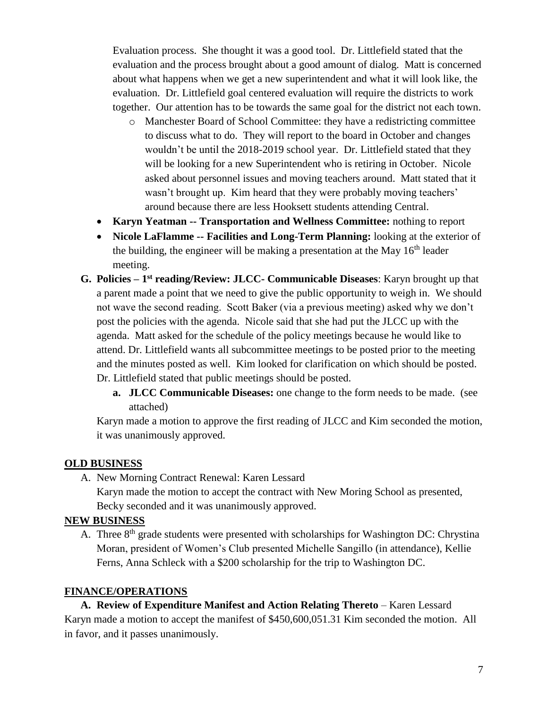Evaluation process. She thought it was a good tool. Dr. Littlefield stated that the evaluation and the process brought about a good amount of dialog. Matt is concerned about what happens when we get a new superintendent and what it will look like, the evaluation. Dr. Littlefield goal centered evaluation will require the districts to work together. Our attention has to be towards the same goal for the district not each town.

- o Manchester Board of School Committee: they have a redistricting committee to discuss what to do. They will report to the board in October and changes wouldn't be until the 2018-2019 school year. Dr. Littlefield stated that they will be looking for a new Superintendent who is retiring in October. Nicole asked about personnel issues and moving teachers around. Matt stated that it wasn't brought up. Kim heard that they were probably moving teachers' around because there are less Hooksett students attending Central.
- **Karyn Yeatman -- Transportation and Wellness Committee:** nothing to report
- **Nicole LaFlamme -- Facilities and Long-Term Planning:** looking at the exterior of the building, the engineer will be making a presentation at the May  $16<sup>th</sup>$  leader meeting.
- **G. Policies – 1 st reading/Review: JLCC- Communicable Diseases**: Karyn brought up that a parent made a point that we need to give the public opportunity to weigh in. We should not wave the second reading. Scott Baker (via a previous meeting) asked why we don't post the policies with the agenda. Nicole said that she had put the JLCC up with the agenda. Matt asked for the schedule of the policy meetings because he would like to attend. Dr. Littlefield wants all subcommittee meetings to be posted prior to the meeting and the minutes posted as well. Kim looked for clarification on which should be posted. Dr. Littlefield stated that public meetings should be posted.
	- **a. JLCC Communicable Diseases:** one change to the form needs to be made. (see attached)

Karyn made a motion to approve the first reading of JLCC and Kim seconded the motion, it was unanimously approved.

#### **OLD BUSINESS**

A. New Morning Contract Renewal: Karen Lessard

Karyn made the motion to accept the contract with New Moring School as presented, Becky seconded and it was unanimously approved.

#### **NEW BUSINESS**

A. Three 8<sup>th</sup> grade students were presented with scholarships for Washington DC: Chrystina Moran, president of Women's Club presented Michelle Sangillo (in attendance), Kellie Ferns, Anna Schleck with a \$200 scholarship for the trip to Washington DC.

#### **FINANCE/OPERATIONS**

**A. Review of Expenditure Manifest and Action Relating Thereto** – Karen Lessard Karyn made a motion to accept the manifest of \$450,600,051.31 Kim seconded the motion. All in favor, and it passes unanimously.